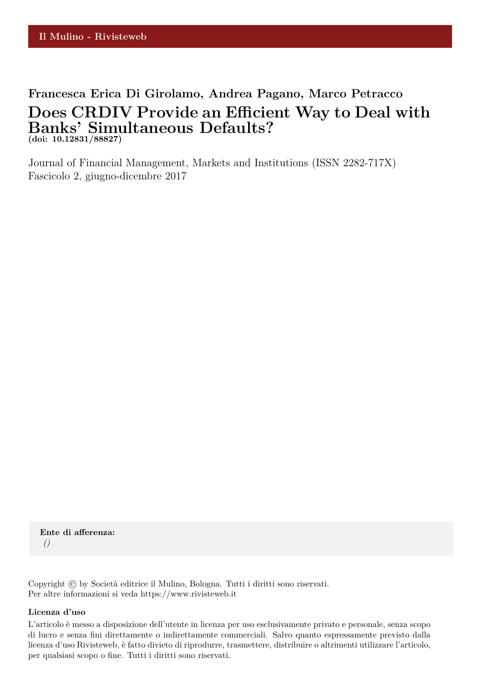# **Francesca Erica Di Girolamo, Andrea Pagano, Marco Petracco Does CRDIV Provide an Efficient Way to Deal with Banks' Simultaneous Defaults? (doi: 10.12831/88827)**

Journal of Financial Management, Markets and Institutions (ISSN 2282-717X) Fascicolo 2, giugno-dicembre 2017

**Ente di afferenza:** *()*

Copyright © by Società editrice il Mulino, Bologna. Tutti i diritti sono riservati. Per altre informazioni si veda https://www.rivisteweb.it

#### **Licenza d'uso**

L'articolo è messo a disposizione dell'utente in licenza per uso esclusivamente privato e personale, senza scopo di lucro e senza fini direttamente o indirettamente commerciali. Salvo quanto espressamente previsto dalla licenza d'uso Rivisteweb, è fatto divieto di riprodurre, trasmettere, distribuire o altrimenti utilizzare l'articolo, per qualsiasi scopo o fine. Tutti i diritti sono riservati.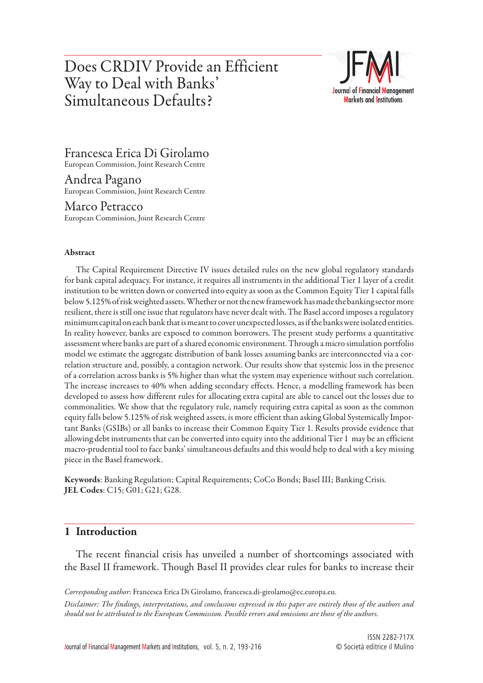# Does CRDIV Provide an Efficient Way to Deal with Banks' Simultaneous Defaults?



Francesca Erica Di Girolamo

European Commission, Joint Research Centre

Andrea Pagano European Commission, Joint Research Centre

Marco Petracco European Commission, Joint Research Centre

### Abstract

The Capital Requirement Directive IV issues detailed rules on the new global regulatory standards for bank capital adequacy. For instance, it requires all instruments in the additional Tier 1 layer of a credit institution to be written down or converted into equity as soon as the Common Equity Tier 1 capital falls below 5.125% of risk weighted assets. Whether or not the new framework has made the banking sector more resilient, there is still one issue that regulators have never dealt with. The Basel accord imposes a regulatory minimum capital on each bank that is meant to cover unexpected losses, as if the banks were isolated entities. In reality however, banks are exposed to common borrowers. The present study performs a quantitative assessment where banks are part of a shared economic environment. Through a micro simulation portfolio model we estimate the aggregate distribution of bank losses assuming banks are interconnected via a correlation structure and, possibly, a contagion network. Our results show that systemic loss in the presence of a correlation across banks is 5% higher than what the system may experience without such correlation. The increase increases to 40% when adding secondary effects. Hence, a modelling framework has been developed to assess how different rules for allocating extra capital are able to cancel out the losses due to commonalities. We show that the regulatory rule, namely requiring extra capital as soon as the common equity falls below 5.125% of risk weighted assets, is more efficient than asking Global Systemically Important Banks (GSIBs) or all banks to increase their Common Equity Tier 1. Results provide evidence that allowing debt instruments that can be converted into equity into the additional Tier 1 may be an efficient macro-prudential tool to face banks' simultaneous defaults and this would help to deal with a key missing piece in the Basel framework.

Keywords: Banking Regulation; Capital Requirements; CoCo Bonds; Basel III; Banking Crisis. JEL Codes: C15; G01; G21; G28.

# 1 Introduction

The recent financial crisis has unveiled a number of shortcomings associated with the Basel II framework. Though Basel II provides clear rules for banks to increase their

*Corresponding author*: Francesca Erica Di Girolamo, francesca.di-girolamo@ec.europa.eu.

*Disclaimer: The findings, interpretations, and conclusions expressed in this paper are entirely those of the authors and should not be attributed to the European Commission. Possible errors and omissions are those of the authors.*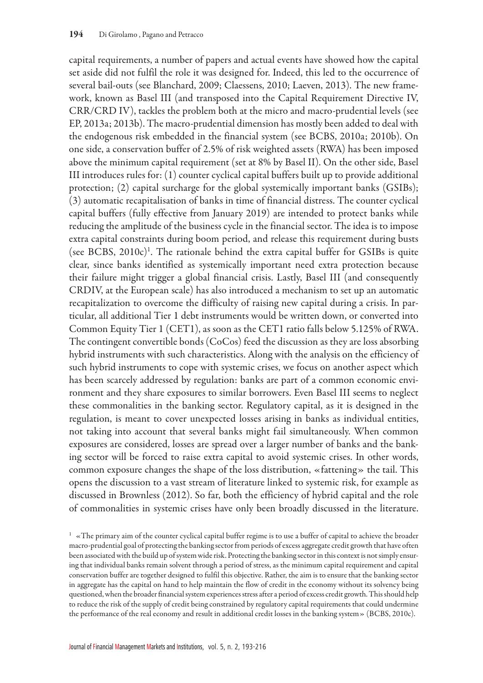capital requirements, a number of papers and actual events have showed how the capital set aside did not fulfil the role it was designed for. Indeed, this led to the occurrence of several bail-outs (see Blanchard, 2009; Claessens, 2010; Laeven, 2013). The new framework, known as Basel III (and transposed into the Capital Requirement Directive IV, CRR/CRD IV), tackles the problem both at the micro and macro-prudential levels (see EP, 2013a; 2013b). The macro-prudential dimension has mostly been added to deal with the endogenous risk embedded in the financial system (see BCBS, 2010a; 2010b). On one side, a conservation buffer of 2.5% of risk weighted assets (RWA) has been imposed above the minimum capital requirement (set at 8% by Basel II). On the other side, Basel III introduces rules for: (1) counter cyclical capital buffers built up to provide additional protection; (2) capital surcharge for the global systemically important banks (GSIBs); (3) automatic recapitalisation of banks in time of financial distress. The counter cyclical capital buffers (fully effective from January 2019) are intended to protect banks while reducing the amplitude of the business cycle in the financial sector. The idea is to impose extra capital constraints during boom period, and release this requirement during busts (see BCBS,  $2010c$ <sup>)</sup>. The rationale behind the extra capital buffer for GSIBs is quite clear, since banks identified as systemically important need extra protection because their failure might trigger a global financial crisis. Lastly, Basel III (and consequently CRDIV, at the European scale) has also introduced a mechanism to set up an automatic recapitalization to overcome the difficulty of raising new capital during a crisis. In particular, all additional Tier 1 debt instruments would be written down, or converted into Common Equity Tier 1 (CET1), as soon as the CET1 ratio falls below 5.125% of RWA. The contingent convertible bonds (CoCos) feed the discussion as they are loss absorbing hybrid instruments with such characteristics. Along with the analysis on the efficiency of such hybrid instruments to cope with systemic crises, we focus on another aspect which has been scarcely addressed by regulation: banks are part of a common economic environment and they share exposures to similar borrowers. Even Basel III seems to neglect these commonalities in the banking sector. Regulatory capital, as it is designed in the regulation, is meant to cover unexpected losses arising in banks as individual entities, not taking into account that several banks might fail simultaneously. When common exposures are considered, losses are spread over a larger number of banks and the banking sector will be forced to raise extra capital to avoid systemic crises. In other words, common exposure changes the shape of the loss distribution, «fattening» the tail. This opens the discussion to a vast stream of literature linked to systemic risk, for example as discussed in Brownless (2012). So far, both the efficiency of hybrid capital and the role of commonalities in systemic crises have only been broadly discussed in the literature.

 $1 \times$ The primary aim of the counter cyclical capital buffer regime is to use a buffer of capital to achieve the broader macro-prudential goal of protecting the banking sector from periods of excess aggregate credit growth that have often been associated with the build up of system wide risk. Protecting the banking sector in this context is not simply ensuring that individual banks remain solvent through a period of stress, as the minimum capital requirement and capital conservation buffer are together designed to fulfil this objective. Rather, the aim is to ensure that the banking sector in aggregate has the capital on hand to help maintain the flow of credit in the economy without its solvency being questioned, when the broader financial system experiences stress after a period of excess credit growth. This should help to reduce the risk of the supply of credit being constrained by regulatory capital requirements that could undermine the performance of the real economy and result in additional credit losses in the banking system» (BCBS, 2010c).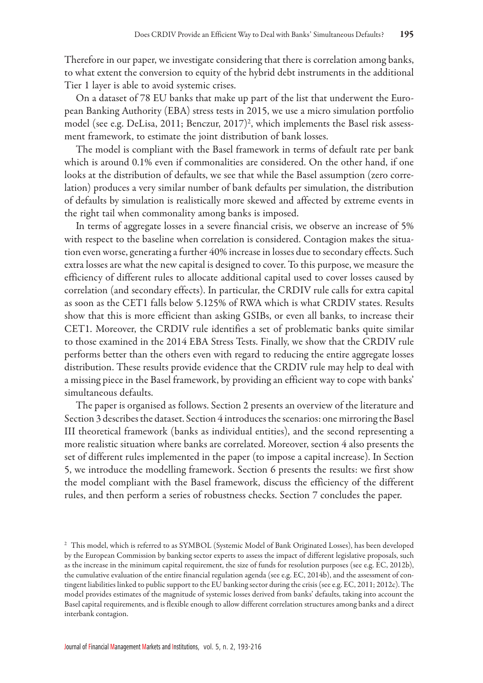Therefore in our paper, we investigate considering that there is correlation among banks, to what extent the conversion to equity of the hybrid debt instruments in the additional Tier 1 layer is able to avoid systemic crises.

On a dataset of 78 EU banks that make up part of the list that underwent the European Banking Authority (EBA) stress tests in 2015, we use a micro simulation portfolio model (see e.g. DeLisa, 2011; Benczur, 2017)2 , which implements the Basel risk assessment framework, to estimate the joint distribution of bank losses.

The model is compliant with the Basel framework in terms of default rate per bank which is around 0.1% even if commonalities are considered. On the other hand, if one looks at the distribution of defaults, we see that while the Basel assumption (zero correlation) produces a very similar number of bank defaults per simulation, the distribution of defaults by simulation is realistically more skewed and affected by extreme events in the right tail when commonality among banks is imposed.

In terms of aggregate losses in a severe financial crisis, we observe an increase of 5% with respect to the baseline when correlation is considered. Contagion makes the situation even worse, generating a further 40% increase in losses due to secondary effects. Such extra losses are what the new capital is designed to cover. To this purpose, we measure the efficiency of different rules to allocate additional capital used to cover losses caused by correlation (and secondary effects). In particular, the CRDIV rule calls for extra capital as soon as the CET1 falls below 5.125% of RWA which is what CRDIV states. Results show that this is more efficient than asking GSIBs, or even all banks, to increase their CET1. Moreover, the CRDIV rule identifies a set of problematic banks quite similar to those examined in the 2014 EBA Stress Tests. Finally, we show that the CRDIV rule performs better than the others even with regard to reducing the entire aggregate losses distribution. These results provide evidence that the CRDIV rule may help to deal with a missing piece in the Basel framework, by providing an efficient way to cope with banks' simultaneous defaults.

The paper is organised as follows. Section 2 presents an overview of the literature and Section 3 describes the dataset. Section 4 introduces the scenarios: one mirroring the Basel III theoretical framework (banks as individual entities), and the second representing a more realistic situation where banks are correlated. Moreover, section 4 also presents the set of different rules implemented in the paper (to impose a capital increase). In Section 5, we introduce the modelling framework. Section 6 presents the results: we first show the model compliant with the Basel framework, discuss the efficiency of the different rules, and then perform a series of robustness checks. Section 7 concludes the paper.

<sup>&</sup>lt;sup>2</sup> This model, which is referred to as SYMBOL (Systemic Model of Bank Originated Losses), has been developed by the European Commission by banking sector experts to assess the impact of different legislative proposals, such as the increase in the minimum capital requirement, the size of funds for resolution purposes (see e.g. EC, 2012b), the cumulative evaluation of the entire financial regulation agenda (see e.g. EC, 2014b), and the assessment of contingent liabilities linked to public support to the EU banking sector during the crisis (see e.g. EC, 2011; 2012c). The model provides estimates of the magnitude of systemic losses derived from banks' defaults, taking into account the Basel capital requirements, and is flexible enough to allow different correlation structures among banks and a direct interbank contagion.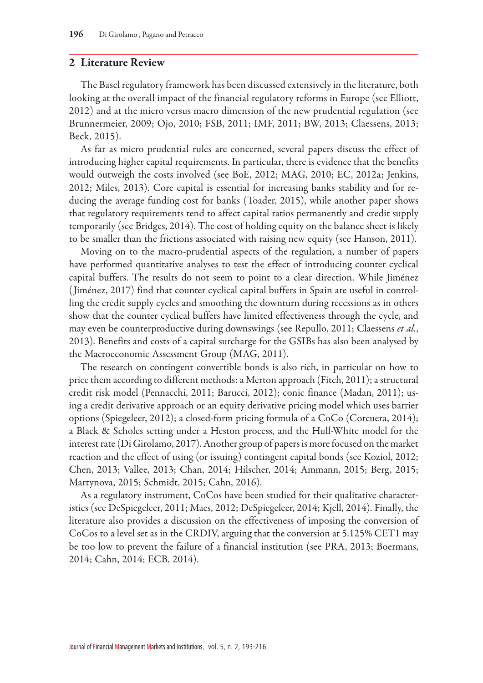#### 2 Literature Review

The Basel regulatory framework has been discussed extensively in the literature, both looking at the overall impact of the financial regulatory reforms in Europe (see Elliott, 2012) and at the micro versus macro dimension of the new prudential regulation (see Brunnermeier, 2009; Ojo, 2010; FSB, 2011; IMF, 2011; BW, 2013; Claessens, 2013; Beck, 2015).

As far as micro prudential rules are concerned, several papers discuss the effect of introducing higher capital requirements. In particular, there is evidence that the benefits would outweigh the costs involved (see BoE, 2012; MAG, 2010; EC, 2012a; Jenkins, 2012; Miles, 2013). Core capital is essential for increasing banks stability and for reducing the average funding cost for banks (Toader, 2015), while another paper shows that regulatory requirements tend to affect capital ratios permanently and credit supply temporarily (see Bridges, 2014). The cost of holding equity on the balance sheet is likely to be smaller than the frictions associated with raising new equity (see Hanson, 2011).

Moving on to the macro-prudential aspects of the regulation, a number of papers have performed quantitative analyses to test the effect of introducing counter cyclical capital buffers. The results do not seem to point to a clear direction. While Jiménez (Jiménez, 2017) find that counter cyclical capital buffers in Spain are useful in controlling the credit supply cycles and smoothing the downturn during recessions as in others show that the counter cyclical buffers have limited effectiveness through the cycle, and may even be counterproductive during downswings (see Repullo, 2011; Claessens *et al.*, 2013). Benefits and costs of a capital surcharge for the GSIBs has also been analysed by the Macroeconomic Assessment Group (MAG, 2011).

The research on contingent convertible bonds is also rich, in particular on how to price them according to different methods: a Merton approach (Fitch, 2011); a structural credit risk model (Pennacchi, 2011; Barucci, 2012); conic finance (Madan, 2011); using a credit derivative approach or an equity derivative pricing model which uses barrier options (Spiegeleer, 2012); a closed-form pricing formula of a CoCo (Corcuera, 2014); a Black & Scholes setting under a Heston process, and the Hull-White model for the interest rate (Di Girolamo, 2017). Another group of papers is more focused on the market reaction and the effect of using (or issuing) contingent capital bonds (see Koziol, 2012; Chen, 2013; Vallee, 2013; Chan, 2014; Hilscher, 2014; Ammann, 2015; Berg, 2015; Martynova, 2015; Schmidt, 2015; Cahn, 2016).

As a regulatory instrument, CoCos have been studied for their qualitative characteristics (see DeSpiegeleer, 2011; Maes, 2012; DeSpiegeleer, 2014; Kjell, 2014). Finally, the literature also provides a discussion on the effectiveness of imposing the conversion of CoCos to a level set as in the CRDIV, arguing that the conversion at 5.125% CET1 may be too low to prevent the failure of a financial institution (see PRA, 2013; Boermans, 2014; Cahn, 2014; ECB, 2014).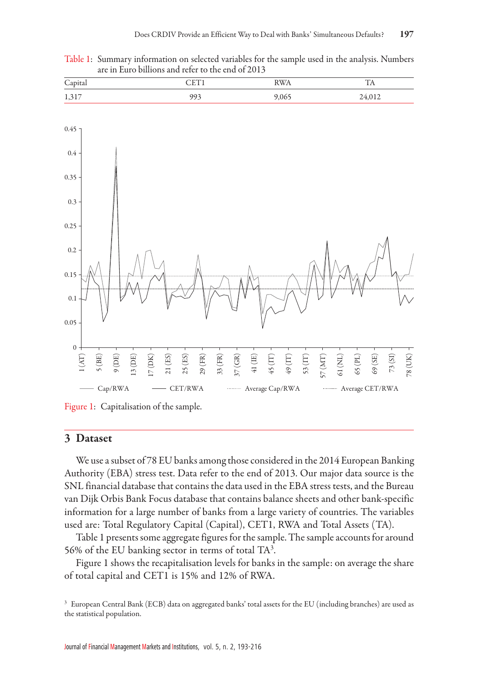Table 1: Summary information on selected variables for the sample used in the analysis. Numbers are in Euro billions and refer to the end of 2013





Figure 1: Capitalisation of the sample.

### 3 Dataset

We use a subset of 78 EU banks among those considered in the 2014 European Banking Authority (EBA) stress test. Data refer to the end of 2013. Our major data source is the SNL financial database that contains the data used in the EBA stress tests, and the Bureau van Dijk Orbis Bank Focus database that contains balance sheets and other bank-specific information for a large number of banks from a large variety of countries. The variables used are: Total Regulatory Capital (Capital), CET1, RWA and Total Assets (TA).

Table 1 presents some aggregate figures for the sample. The sample accounts for around 56% of the EU banking sector in terms of total TA3 .

Figure 1 shows the recapitalisation levels for banks in the sample: on average the share of total capital and CET1 is 15% and 12% of RWA.

<sup>3</sup> European Central Bank (ECB) data on aggregated banks' total assets for the EU (including branches) are used as the statistical population.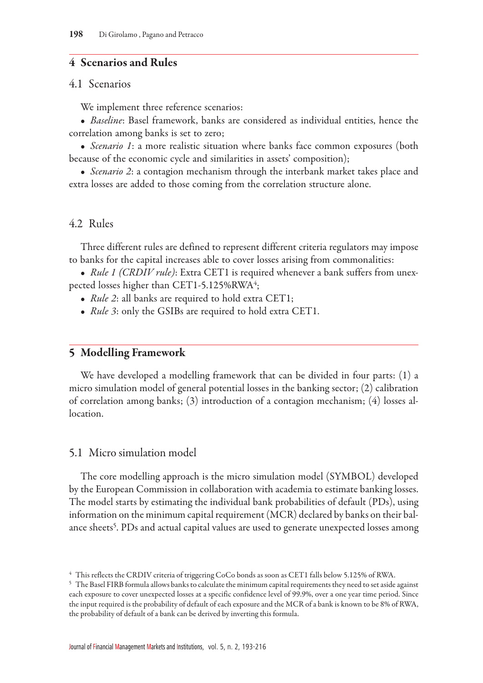# 4 Scenarios and Rules

### 4.1 Scenarios

We implement three reference scenarios:

• *Baseline*: Basel framework, banks are considered as individual entities, hence the correlation among banks is set to zero;

• *Scenario 1*: a more realistic situation where banks face common exposures (both because of the economic cycle and similarities in assets' composition);

• *Scenario 2*: a contagion mechanism through the interbank market takes place and extra losses are added to those coming from the correlation structure alone.

# 4.2 Rules

Three different rules are defined to represent different criteria regulators may impose to banks for the capital increases able to cover losses arising from commonalities:

• *Rule 1 (CRDIV rule)*: Extra CET1 is required whenever a bank suffers from unexpected losses higher than CET1-5.125%RWA $\rm ^4;$ 

- *Rule 2*: all banks are required to hold extra CET1;
- *Rule 3*: only the GSIBs are required to hold extra CET1.

# 5 Modelling Framework

We have developed a modelling framework that can be divided in four parts: (1) a micro simulation model of general potential losses in the banking sector; (2) calibration of correlation among banks; (3) introduction of a contagion mechanism; (4) losses allocation.

### 5.1 Micro simulation model

The core modelling approach is the micro simulation model (SYMBOL) developed by the European Commission in collaboration with academia to estimate banking losses. The model starts by estimating the individual bank probabilities of default (PDs), using information on the minimum capital requirement (MCR) declared by banks on their balance sheets<sup>5</sup>. PDs and actual capital values are used to generate unexpected losses among

<sup>4</sup> This reflects the CRDIV criteria of triggering CoCo bonds as soon as CET1 falls below 5.125% of RWA.

<sup>5</sup> The Basel FIRB formula allows banks to calculate the minimum capital requirements they need to set aside against each exposure to cover unexpected losses at a specific confidence level of 99.9%, over a one year time period. Since the input required is the probability of default of each exposure and the MCR of a bank is known to be 8% of RWA, the probability of default of a bank can be derived by inverting this formula.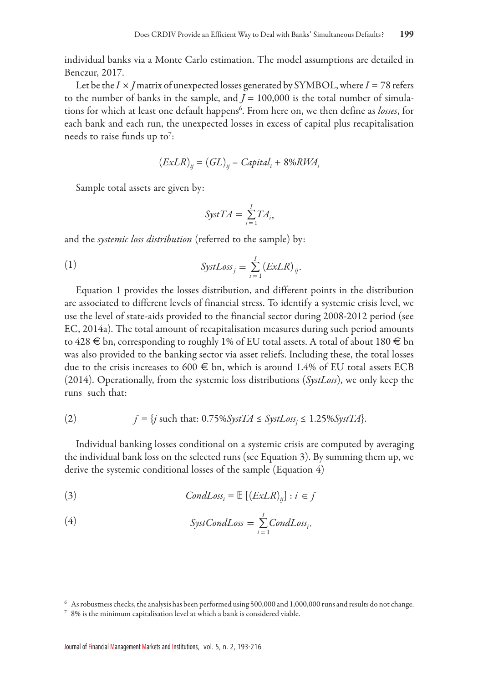individual banks via a Monte Carlo estimation. The model assumptions are detailed in Benczur, 2017.

Let be the  $I \times J$  matrix of unexpected losses generated by SYMBOL, where  $I = 78$  refers to the number of banks in the sample, and  $J = 100,000$  is the total number of simulations for which at least one default happens6 . From here on, we then define as *losses*, for each bank and each run, the unexpected losses in excess of capital plus recapitalisation needs to raise funds up to<sup>7</sup>:

$$
(ExLR)_{ij} = (GL)_{ij} - Capital_i + 8\%RWA_i
$$

Sample total assets are given by:

$$
\text{SystTA} = \sum_{i=1}^{I} TA_i,
$$

and the *systemic loss distribution* (referred to the sample) by:

(1) 
$$
SystLoss_j = \sum_{i=1}^{I} (ExLR)_{ij}.
$$

Equation 1 provides the losses distribution, and different points in the distribution are associated to different levels of financial stress. To identify a systemic crisis level, we use the level of state-aids provided to the financial sector during 2008-2012 period (see EC, 2014a). The total amount of recapitalisation measures during such period amounts to 428  $\in$  bn, corresponding to roughly 1% of EU total assets. A total of about 180  $\in$  bn was also provided to the banking sector via asset reliefs. Including these, the total losses due to the crisis increases to 600  $\epsilon$  bn, which is around 1.4% of EU total assets ECB (2014). Operationally, from the systemic loss distributions (*SystLoss*), we only keep the runs such that:

(2) 
$$
f = \{j \text{ such that: } 0.75\% SystTA \leq SystLoss_j \leq 1.25\% SystTA\}.
$$

Individual banking losses conditional on a systemic crisis are computed by averaging the individual bank loss on the selected runs (see Equation 3). By summing them up, we derive the systemic conditional losses of the sample (Equation 4)

(3) 
$$
CondLoss_i = \mathbb{E} \left[ \left( \left( \frac{ExLR}{ij} \right) : i \in j \right) \right]
$$

(4) 
$$
\text{SystCondLoss} = \sum_{i=1}^{I} \text{CondLoss}_{i}.
$$

<sup>6</sup> As robustness checks, the analysis has been performed using 500,000 and 1,000,000 runs and results do not change.

<sup>7</sup> 8% is the minimum capitalisation level at which a bank is considered viable.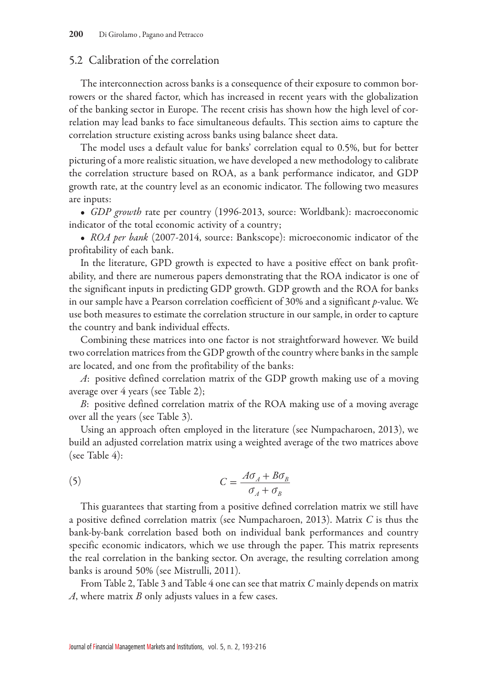## 5.2 Calibration of the correlation

The interconnection across banks is a consequence of their exposure to common borrowers or the shared factor, which has increased in recent years with the globalization of the banking sector in Europe. The recent crisis has shown how the high level of correlation may lead banks to face simultaneous defaults. This section aims to capture the correlation structure existing across banks using balance sheet data.

The model uses a default value for banks' correlation equal to 0.5%, but for better picturing of a more realistic situation, we have developed a new methodology to calibrate the correlation structure based on ROA, as a bank performance indicator, and GDP growth rate, at the country level as an economic indicator. The following two measures are inputs:

• *GDP growth* rate per country (1996-2013, source: Worldbank): macroeconomic indicator of the total economic activity of a country;

• *ROA per bank* (2007-2014, source: Bankscope): microeconomic indicator of the profitability of each bank.

In the literature, GPD growth is expected to have a positive effect on bank profitability, and there are numerous papers demonstrating that the ROA indicator is one of the significant inputs in predicting GDP growth. GDP growth and the ROA for banks in our sample have a Pearson correlation coefficient of 30% and a significant *p*-value. We use both measures to estimate the correlation structure in our sample, in order to capture the country and bank individual effects.

Combining these matrices into one factor is not straightforward however. We build two correlation matrices from the GDP growth of the country where banks in the sample are located, and one from the profitability of the banks:

*A*: positive defined correlation matrix of the GDP growth making use of a moving average over 4 years (see Table 2);

*B*: positive defined correlation matrix of the ROA making use of a moving average over all the years (see Table 3).

Using an approach often employed in the literature (see Numpacharoen, 2013), we build an adjusted correlation matrix using a weighted average of the two matrices above (see Table 4):

(5) 
$$
C = \frac{A\sigma_A + B\sigma_B}{\sigma_A + \sigma_B}
$$

This guarantees that starting from a positive defined correlation matrix we still have a positive defined correlation matrix (see Numpacharoen, 2013). Matrix *C* is thus the bank-by-bank correlation based both on individual bank performances and country specific economic indicators, which we use through the paper. This matrix represents the real correlation in the banking sector. On average, the resulting correlation among banks is around 50% (see Mistrulli, 2011).

From Table 2, Table 3 and Table 4 one can see that matrix *C* mainly depends on matrix *A*, where matrix *B* only adjusts values in a few cases.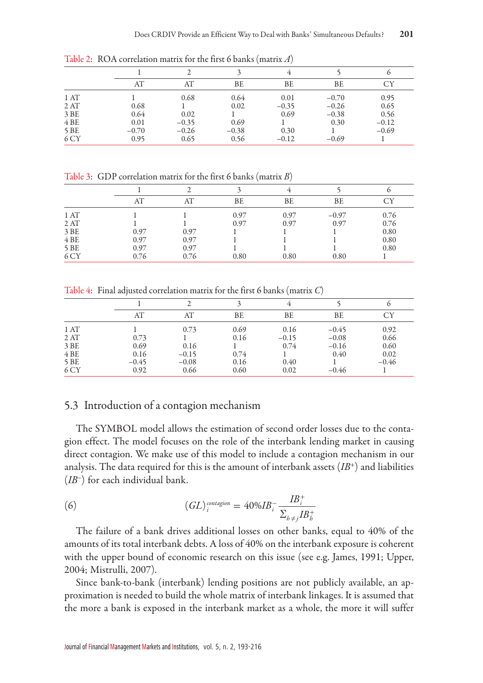|      |         |         |         | 4       |         | o       |
|------|---------|---------|---------|---------|---------|---------|
|      | AT      | AT      | ВE      | BE      | BE      | СY      |
| 1AT  |         | 0.68    | 0.64    | 0.01    | $-0.70$ | 0.95    |
| 2AT  | 0.68    |         | 0.02    | $-0.35$ | $-0.26$ | 0.65    |
| 3 BE | 0.64    | 0.02    |         | 0.69    | $-0.38$ | 0.56    |
| 4BE  | 0.01    | $-0.35$ | 0.69    |         | 0.30    | $-0.12$ |
| 5 BE | $-0.70$ | $-0.26$ | $-0.38$ | 0.30    |         | $-0.69$ |
| 6 CY | 0.95    | 0.65    | 0.56    | $-0.12$ | $-0.69$ |         |

Table 2: ROA correlation matrix for the first 6 banks (matrix *A*)

Table 3: GDP correlation matrix for the first 6 banks (matrix *B*)

|      | AT   | AT   | BE   | BE   | BE      | CY   |
|------|------|------|------|------|---------|------|
| 1 AT |      |      | 0.97 | 0.97 | $-0.97$ | 0.76 |
| 2AT  |      |      | 0.97 | 0.97 | 0.97    | 0.76 |
| 3 BE | 0.97 | 0.97 |      |      |         | 0.80 |
| 4BE  | 0.97 | 0.97 |      |      |         | 0.80 |
| 5 BE | 0.97 | 0.97 |      |      |         | 0.80 |
| 6 CY | 0.76 | 0.76 | 0.80 | 0.80 | 0.80    |      |

Table 4: Final adjusted correlation matrix for the first 6 banks (matrix *C*)

|      | AT      | AT      | ВE   | BE      | BE      | СY      |
|------|---------|---------|------|---------|---------|---------|
| 1AT  |         | 0.73    | 0.69 | 0.16    | $-0.45$ | 0.92    |
| 2AT  | 0.73    |         | 0.16 | $-0.15$ | $-0.08$ | 0.66    |
| 3 BE | 0.69    | 0.16    |      | 0.74    | $-0.16$ | 0.60    |
| 4BE  | 0.16    | $-0.15$ | 0.74 |         | 0.40    | 0.02    |
| 5 BE | $-0.45$ | $-0.08$ | 0.16 | 0.40    |         | $-0.46$ |
| 6 CY | 0.92    | 0.66    | 0.60 | 0.02    | $-0.46$ |         |

### 5.3 Introduction of a contagion mechanism

The SYMBOL model allows the estimation of second order losses due to the contagion effect. The model focuses on the role of the interbank lending market in causing direct contagion. We make use of this model to include a contagion mechanism in our analysis. The data required for this is the amount of interbank assets  $(IB<sup>+</sup>)$  and liabilities (*IB*–) for each individual bank.

(6) 
$$
(GL)icontagion = 40%IBi- \frac{IBi+}{\sum_{h \neq j} IBh+}
$$

The failure of a bank drives additional losses on other banks, equal to 40% of the amounts of its total interbank debts. A loss of 40% on the interbank exposure is coherent with the upper bound of economic research on this issue (see e.g. James, 1991; Upper, 2004; Mistrulli, 2007).

Since bank-to-bank (interbank) lending positions are not publicly available, an approximation is needed to build the whole matrix of interbank linkages. It is assumed that the more a bank is exposed in the interbank market as a whole, the more it will suffer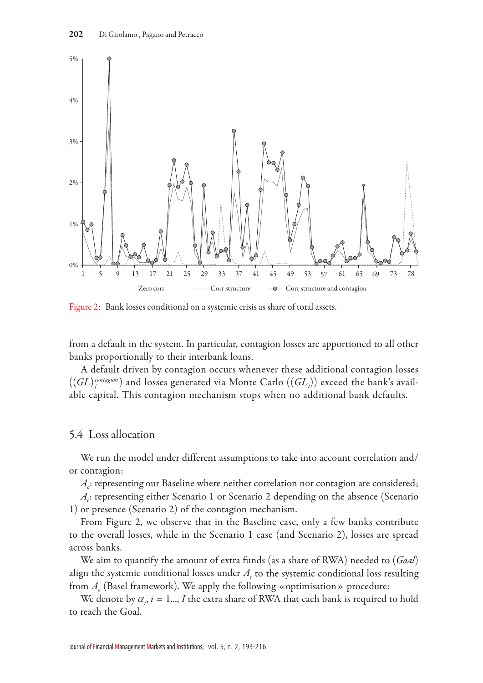

Figure 2: Bank losses conditional on a systemic crisis as share of total assets.

from a default in the system. In particular, contagion losses are apportioned to all other banks proportionally to their interbank loans.

A default driven by contagion occurs whenever these additional contagion losses  $((GL)^{\tiny\it control~{contagion}}_{i})$  and losses generated via Monte Carlo  $((GL_{i}))$  exceed the bank's available capital. This contagion mechanism stops when no additional bank defaults.

### 5.4 Loss allocation

We run the model under different assumptions to take into account correlation and/ or contagion:

*A*: representing our Baseline where neither correlation nor contagion are considered;

 $A_c$ : representing either Scenario 1 or Scenario 2 depending on the absence (Scenario 1) or presence (Scenario 2) of the contagion mechanism.

From Figure 2, we observe that in the Baseline case, only a few banks contribute to the overall losses, while in the Scenario 1 case (and Scenario 2), losses are spread across banks.

We aim to quantify the amount of extra funds (as a share of RWA) needed to (*Goal*) align the systemic conditional losses under  $A_c$  to the systemic conditional loss resulting from  $A_{\rho}$  (Basel framework). We apply the following «optimisation» procedure:

We denote by  $\alpha_i$ ,  $i = 1...$ , *I* the extra share of RWA that each bank is required to hold to reach the Goal.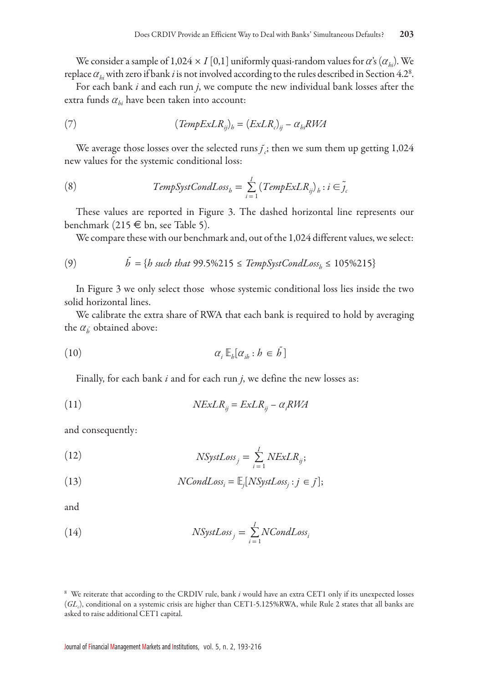We consider a sample of  $1,024 \times I$  [0,1] uniformly quasi-random values for *a*'s ( $\alpha_{hi}$ ). We replace  $\alpha_{\rm \it hi}$  with zero if bank  $i$  is not involved according to the rules described in Section 4.2<sup>8</sup>.

For each bank *i* and each run *j*, we compute the new individual bank losses after the extra funds  $\alpha_{hi}$  have been taken into account:

(7) 
$$
(TempExLR_{ij})_b = (ExLR_c)_{ij} - \alpha_{bi} RWA
$$

We average those losses over the selected runs $f_{\tilde{c}}$ ; then we sum them up getting  $1,\!024$ new values for the systemic conditional loss:

(8) 
$$
TempSystCondLoss_b = \sum_{i=1}^{I} (TempExLR_{ij})_b : i \in \tilde{j}_c
$$

These values are reported in Figure 3. The dashed horizontal line represents our benchmark (215  $\in$  bn, see Table 5).

We compare these with our benchmark and, out of the 1,024 different values, we select:

(9) 
$$
\tilde{b} = \{b \text{ such that } 99.5\%215 \leq \text{TempSystCondLoss}_{b} \leq 105\%215\}
$$

In Figure 3 we only select those whose systemic conditional loss lies inside the two solid horizontal lines.

We calibrate the extra share of RWA that each bank is required to hold by averaging the  $\alpha_{\tilde{b}}$  obtained above:

$$
\alpha_i \mathbb{E}_h[\alpha_{ih} : h \in \tilde{h}]
$$

Finally, for each bank *i* and for each run *j*, we define the new losses as:

(11) 
$$
NExLR_{ij} = ExLR_{ij} - \alpha_i RWA
$$

and consequently:

(12) 
$$
NSystLoss_j = \sum_{i=1}^{I} NExLR_{ij};
$$

(13) 
$$
NCondLoss_i = \mathbb{E}_j[NSystem, j \in j];
$$

and

(14) 
$$
NSystLoss_j = \sum_{i=1}^{I} NCondLoss_i
$$

<sup>8</sup> We reiterate that according to the CRDIV rule, bank *i* would have an extra CET1 only if its unexpected losses  $(GL_c)$ , conditional on a systemic crisis are higher than CET1-5.125%RWA, while Rule 2 states that all banks are asked to raise additional CET1 capital.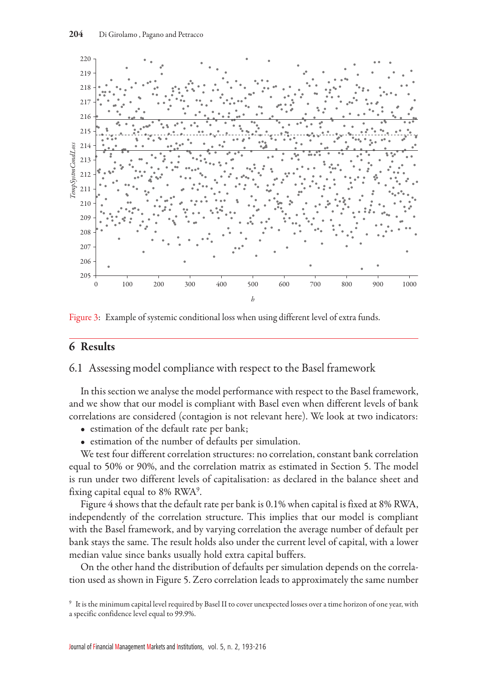

Figure 3: Example of systemic conditional loss when using different level of extra funds.

# 6 Results

## 6.1 Assessing model compliance with respect to the Basel framework

In this section we analyse the model performance with respect to the Basel framework, and we show that our model is compliant with Basel even when different levels of bank correlations are considered (contagion is not relevant here). We look at two indicators:

- estimation of the default rate per bank;
- estimation of the number of defaults per simulation.

We test four different correlation structures: no correlation, constant bank correlation equal to 50% or 90%, and the correlation matrix as estimated in Section 5. The model is run under two different levels of capitalisation: as declared in the balance sheet and fixing capital equal to 8% RWA<sup>9</sup>.

Figure 4 shows that the default rate per bank is 0.1% when capital is fixed at 8% RWA, independently of the correlation structure. This implies that our model is compliant with the Basel framework, and by varying correlation the average number of default per bank stays the same. The result holds also under the current level of capital, with a lower median value since banks usually hold extra capital buffers.

On the other hand the distribution of defaults per simulation depends on the correlation used as shown in Figure 5. Zero correlation leads to approximately the same number

<sup>9</sup> It is the minimum capital level required by Basel II to cover unexpected losses over a time horizon of one year, with a specific confidence level equal to 99.9%.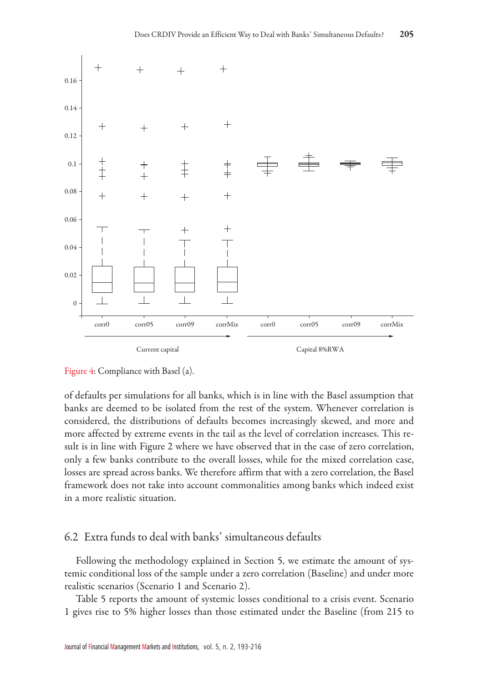

#### Figure 4: Compliance with Basel (a).

of defaults per simulations for all banks, which is in line with the Basel assumption that banks are deemed to be isolated from the rest of the system. Whenever correlation is considered, the distributions of defaults becomes increasingly skewed, and more and more affected by extreme events in the tail as the level of correlation increases. This result is in line with Figure 2 where we have observed that in the case of zero correlation, only a few banks contribute to the overall losses, while for the mixed correlation case, losses are spread across banks. We therefore affirm that with a zero correlation, the Basel framework does not take into account commonalities among banks which indeed exist in a more realistic situation.

### 6.2 Extra funds to deal with banks' simultaneous defaults

Following the methodology explained in Section 5, we estimate the amount of systemic conditional loss of the sample under a zero correlation (Baseline) and under more realistic scenarios (Scenario 1 and Scenario 2).

Table 5 reports the amount of systemic losses conditional to a crisis event. Scenario 1 gives rise to 5% higher losses than those estimated under the Baseline (from 215 to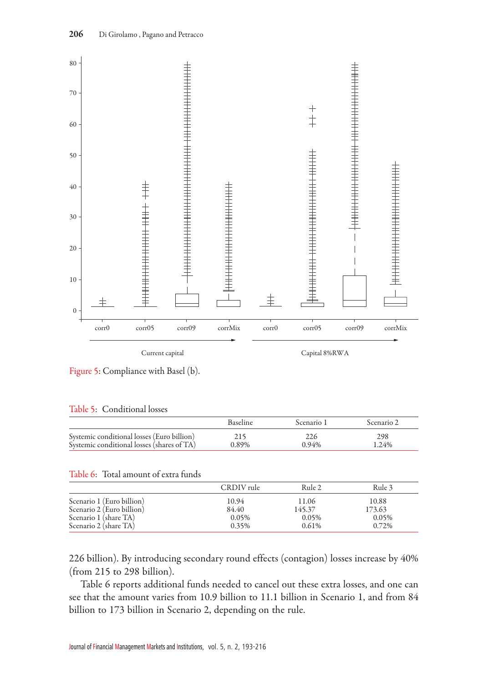

Figure 5: Compliance with Basel (b).

#### Table 5: Conditional losses

|                                            | <b>Baseline</b> | Scenario 1 | Scenario 2 |
|--------------------------------------------|-----------------|------------|------------|
| Systemic conditional losses (Euro billion) | 215             | 226        | 298        |
| Systemic conditional losses (shares of TA) | 0.89%           | 0.94%      | 1.24%      |

#### Table 6: Total amount of extra funds

|                           | CRDIV rule | Rule 2 | Rule 3 |
|---------------------------|------------|--------|--------|
| Scenario 1 (Euro billion) | 10.94      | 11.06  | 10.88  |
| Scenario 2 (Euro billion) | 84.40      | 145.37 | 173.63 |
| Scenario 1 (share TA)     | 0.05%      | 0.05%  | 0.05%  |
| Scenario 2 (share TA)     | 0.35%      | 0.61%  | 0.72%  |

226 billion). By introducing secondary round effects (contagion) losses increase by 40% (from 215 to 298 billion).

Table 6 reports additional funds needed to cancel out these extra losses, and one can see that the amount varies from 10.9 billion to 11.1 billion in Scenario 1, and from 84 billion to 173 billion in Scenario 2, depending on the rule.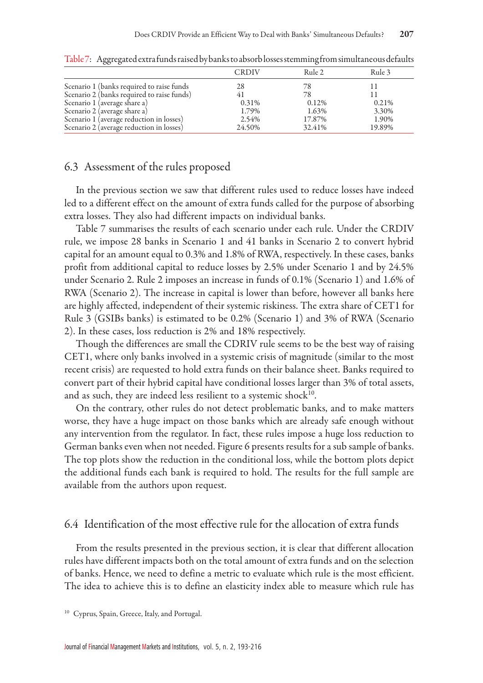|                                                                                         | <b>CRDIV</b>   | Rule 2          | Rule 3         |
|-----------------------------------------------------------------------------------------|----------------|-----------------|----------------|
| Scenario 1 (banks required to raise funds<br>Scenario 2 (banks required to raise funds) | 28<br>41       | 78<br>78        |                |
| Scenario 1 (average share a)                                                            | 0.31%          | 0.12%           | 0.21%          |
| Scenario 2 (average share a)<br>Scenario 1 (average reduction in losses)                | 1.79%<br>2.54% | 1.63%<br>17.87% | 3.30%<br>1.90% |
| Scenario 2 (average reduction in losses)                                                | 24.50%         | 32.41%          | 19.89%         |

Table 7: Aggregated extra funds raised by banks to absorb losses stemming from simultaneous defaults

### 6.3 Assessment of the rules proposed

In the previous section we saw that different rules used to reduce losses have indeed led to a different effect on the amount of extra funds called for the purpose of absorbing extra losses. They also had different impacts on individual banks.

Table 7 summarises the results of each scenario under each rule. Under the CRDIV rule, we impose 28 banks in Scenario 1 and 41 banks in Scenario 2 to convert hybrid capital for an amount equal to 0.3% and 1.8% of RWA, respectively. In these cases, banks profit from additional capital to reduce losses by 2.5% under Scenario 1 and by 24.5% under Scenario 2. Rule 2 imposes an increase in funds of 0.1% (Scenario 1) and 1.6% of RWA (Scenario 2). The increase in capital is lower than before, however all banks here are highly affected, independent of their systemic riskiness. The extra share of CET1 for Rule 3 (GSIBs banks) is estimated to be 0.2% (Scenario 1) and 3% of RWA (Scenario 2). In these cases, loss reduction is 2% and 18% respectively.

Though the differences are small the CDRIV rule seems to be the best way of raising CET1, where only banks involved in a systemic crisis of magnitude (similar to the most recent crisis) are requested to hold extra funds on their balance sheet. Banks required to convert part of their hybrid capital have conditional losses larger than 3% of total assets, and as such, they are indeed less resilient to a systemic shock $10$ .

On the contrary, other rules do not detect problematic banks, and to make matters worse, they have a huge impact on those banks which are already safe enough without any intervention from the regulator. In fact, these rules impose a huge loss reduction to German banks even when not needed. Figure 6 presents results for a sub sample of banks. The top plots show the reduction in the conditional loss, while the bottom plots depict the additional funds each bank is required to hold. The results for the full sample are available from the authors upon request.

## 6.4 Identification of the most effective rule for the allocation of extra funds

From the results presented in the previous section, it is clear that different allocation rules have different impacts both on the total amount of extra funds and on the selection of banks. Hence, we need to define a metric to evaluate which rule is the most efficient. The idea to achieve this is to define an elasticity index able to measure which rule has

<sup>10</sup> Cyprus, Spain, Greece, Italy, and Portugal.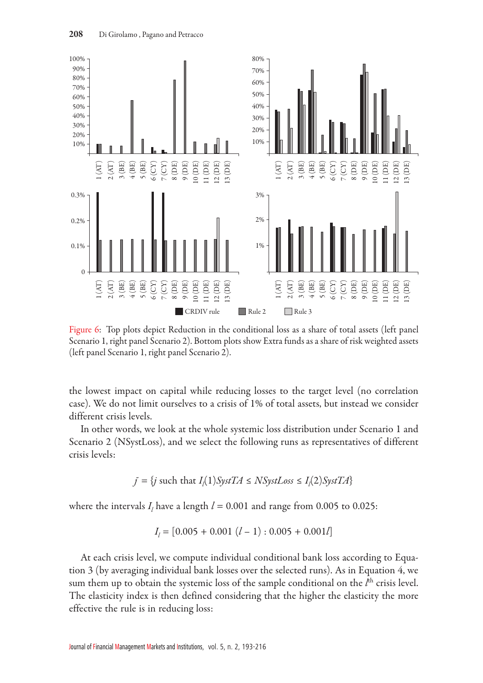

Figure 6: Top plots depict Reduction in the conditional loss as a share of total assets (left panel Scenario 1, right panel Scenario 2). Bottom plots show Extra funds as a share of risk weighted assets

the lowest impact on capital while reducing losses to the target level (no correlation case). We do not limit ourselves to a crisis of 1% of total assets, but instead we consider different crisis levels.

In other words, we look at the whole systemic loss distribution under Scenario 1 and Scenario 2 (NSystLoss), and we select the following runs as representatives of different crisis levels:

$$
f = \{ j \text{ such that } I_l(1)SystTA \leq NSystLoss \leq I_l(2)SystTA \}
$$

where the intervals  $I_l$  have a length  $l = 0.001$  and range from 0.005 to 0.025:

$$
I_l = [0.005 + 0.001 (l - 1): 0.005 + 0.001l]
$$

At each crisis level, we compute individual conditional bank loss according to Equation 3 (by averaging individual bank losses over the selected runs). As in Equation 4, we sum them up to obtain the systemic loss of the sample conditional on the *l*<sup>th</sup> crisis level. The elasticity index is then defined considering that the higher the elasticity the more effective the rule is in reducing loss: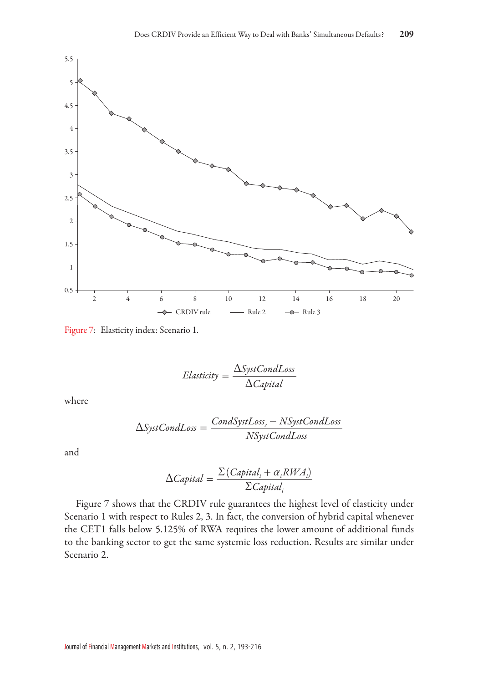

Figure 7: Elasticity index: Scenario 1.

$$
Elasticity = \frac{\Delta SystCondLoss}{\Delta Capital}
$$

where

$$
\Delta SystCondLoss = \frac{CondSystLoss_c - NSystCondLoss}{NSystCondLoss}
$$

and

$$
\Delta Capital = \frac{\Sigma (Capital_i + \alpha_i RWA_i)}{\Sigma Capital_i}
$$

Figure 7 shows that the CRDIV rule guarantees the highest level of elasticity under Scenario 1 with respect to Rules 2, 3. In fact, the conversion of hybrid capital whenever the CET1 falls below 5.125% of RWA requires the lower amount of additional funds to the banking sector to get the same systemic loss reduction. Results are similar under Scenario 2.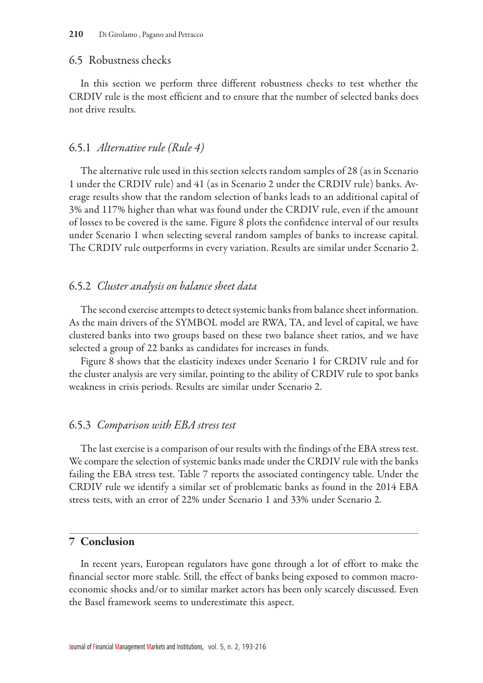#### 6.5 Robustness checks

In this section we perform three different robustness checks to test whether the CRDIV rule is the most efficient and to ensure that the number of selected banks does not drive results.

### 6.5.1 *Alternative rule (Rule 4)*

The alternative rule used in this section selects random samples of 28 (as in Scenario 1 under the CRDIV rule) and 41 (as in Scenario 2 under the CRDIV rule) banks. Average results show that the random selection of banks leads to an additional capital of 3% and 117% higher than what was found under the CRDIV rule, even if the amount of losses to be covered is the same. Figure 8 plots the confidence interval of our results under Scenario 1 when selecting several random samples of banks to increase capital. The CRDIV rule outperforms in every variation. Results are similar under Scenario 2.

### 6.5.2 *Cluster analysis on balance sheet data*

The second exercise attempts to detect systemic banks from balance sheet information. As the main drivers of the SYMBOL model are RWA, TA, and level of capital, we have clustered banks into two groups based on these two balance sheet ratios, and we have selected a group of 22 banks as candidates for increases in funds.

Figure 8 shows that the elasticity indexes under Scenario 1 for CRDIV rule and for the cluster analysis are very similar, pointing to the ability of CRDIV rule to spot banks weakness in crisis periods. Results are similar under Scenario 2.

### 6.5.3 *Comparison with EBA stress test*

The last exercise is a comparison of our results with the findings of the EBA stress test. We compare the selection of systemic banks made under the CRDIV rule with the banks failing the EBA stress test. Table 7 reports the associated contingency table. Under the CRDIV rule we identify a similar set of problematic banks as found in the 2014 EBA stress tests, with an error of 22% under Scenario 1 and 33% under Scenario 2.

### 7 Conclusion

In recent years, European regulators have gone through a lot of effort to make the financial sector more stable. Still, the effect of banks being exposed to common macroeconomic shocks and/or to similar market actors has been only scarcely discussed. Even the Basel framework seems to underestimate this aspect.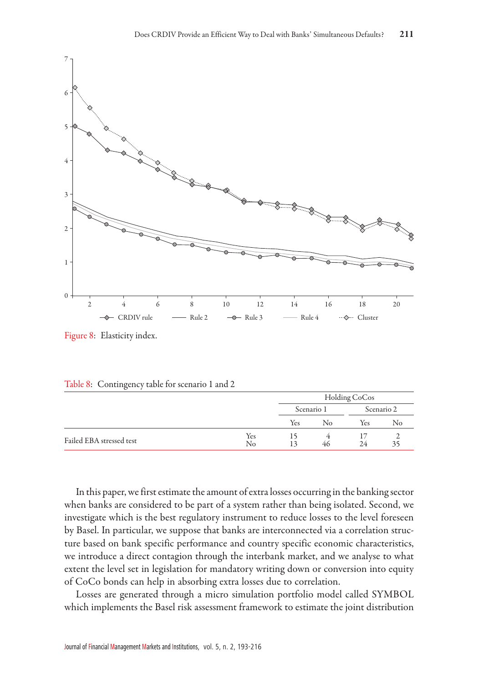

Figure 8: Elasticity index.

| $\sim$<br>____           |           |     |               |     |            |  |
|--------------------------|-----------|-----|---------------|-----|------------|--|
|                          |           |     | Holding CoCos |     |            |  |
|                          |           |     | Scenario 1    |     | Scenario 2 |  |
|                          |           | Yes | No            | Yes | No         |  |
| Failed EBA stressed test | Yes<br>No |     | 46            | 24  |            |  |

Table 8: Contingency table for scenario 1 and 2

In this paper, we first estimate the amount of extra losses occurring in the banking sector when banks are considered to be part of a system rather than being isolated. Second, we investigate which is the best regulatory instrument to reduce losses to the level foreseen by Basel. In particular, we suppose that banks are interconnected via a correlation structure based on bank specific performance and country specific economic characteristics, we introduce a direct contagion through the interbank market, and we analyse to what extent the level set in legislation for mandatory writing down or conversion into equity of CoCo bonds can help in absorbing extra losses due to correlation.

Losses are generated through a micro simulation portfolio model called SYMBOL which implements the Basel risk assessment framework to estimate the joint distribution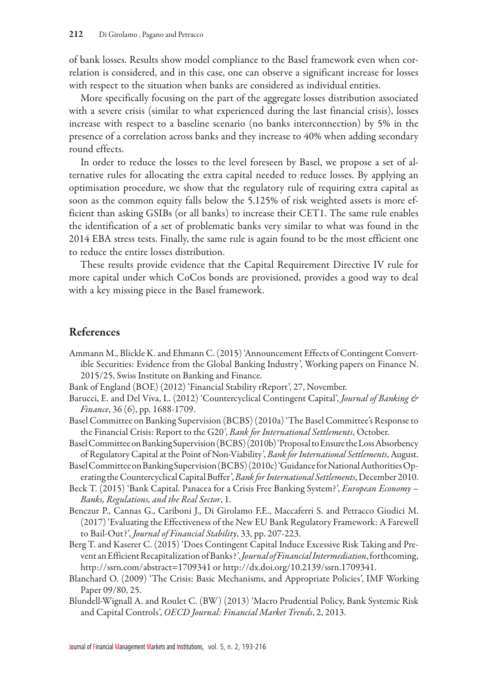of bank losses. Results show model compliance to the Basel framework even when correlation is considered, and in this case, one can observe a significant increase for losses with respect to the situation when banks are considered as individual entities.

More specifically focusing on the part of the aggregate losses distribution associated with a severe crisis (similar to what experienced during the last financial crisis), losses increase with respect to a baseline scenario (no banks interconnection) by 5% in the presence of a correlation across banks and they increase to 40% when adding secondary round effects.

In order to reduce the losses to the level foreseen by Basel, we propose a set of alternative rules for allocating the extra capital needed to reduce losses. By applying an optimisation procedure, we show that the regulatory rule of requiring extra capital as soon as the common equity falls below the 5.125% of risk weighted assets is more efficient than asking GSIBs (or all banks) to increase their CET1. The same rule enables the identification of a set of problematic banks very similar to what was found in the 2014 EBA stress tests. Finally, the same rule is again found to be the most efficient one to reduce the entire losses distribution.

These results provide evidence that the Capital Requirement Directive IV rule for more capital under which CoCos bonds are provisioned, provides a good way to deal with a key missing piece in the Basel framework.

# References

- Ammann M., Blickle K. and Ehmann C. (2015) 'Announcement Effects of Contingent Convertible Securities: Evidence from the Global Banking Industry', Working papers on Finance N. 2015/25, Swiss Institute on Banking and Finance.
- Bank of England (BOE) (2012) 'Financial Stability rReport', 27, November.
- Barucci, E. and Del Viva, L. (2012) 'Countercyclical Contingent Capital', *Journal of Banking & Finance*, 36 (6), pp. 1688-1709.
- Basel Committee on Banking Supervision (BCBS) (2010a)'The Basel Committee's Response to the Financial Crisis: Report to the G20', *Bank for International Settlements*, October.
- Basel Committee on Banking Supervision (BCBS) (2010b)'Proposal to Ensure the Loss Absorbency of Regulatory Capital at the Point of Non-Viability', *Bank for International Settlements*, August.
- Basel Committee on Banking Supervision (BCBS) (2010c)'Guidance for National Authorities Operating the Countercyclical Capital Buffer',*Bank for International Settlements*, December 2010.
- Beck T. (2015) 'Bank Capital. Panacea for a Crisis Free Banking System?', *European Economy Banks, Regulations, and the Real Sector*, 1.
- Benczur P., Cannas G., Cariboni J., Di Girolamo F.E., Maccaferri S. and Petracco Giudici M. (2017) 'Evaluating the Effectiveness of the New EU Bank Regulatory Framework: A Farewell to Bail-Out?', *Journal of Financial Stability*, 33, pp. 207-223.
- Berg T. and Kaserer C. (2015) 'Does Contingent Capital Induce Excessive Risk Taking and Prevent an Efficient Recapitalization of Banks?',*Journal of Financial Intermediation*, forthcoming, http://ssrn.com/abstract=1709341 or http://dx.doi.org/10.2139/ssrn.1709341.
- Blanchard O. (2009) 'The Crisis: Basic Mechanisms, and Appropriate Policies', IMF Working Paper 09/80, 25.
- Blundell-Wignall A. and Roulet C. (BW) (2013) 'Macro Prudential Policy, Bank Systemic Risk and Capital Controls', *OECD Journal: Financial Market Trends*, 2, 2013.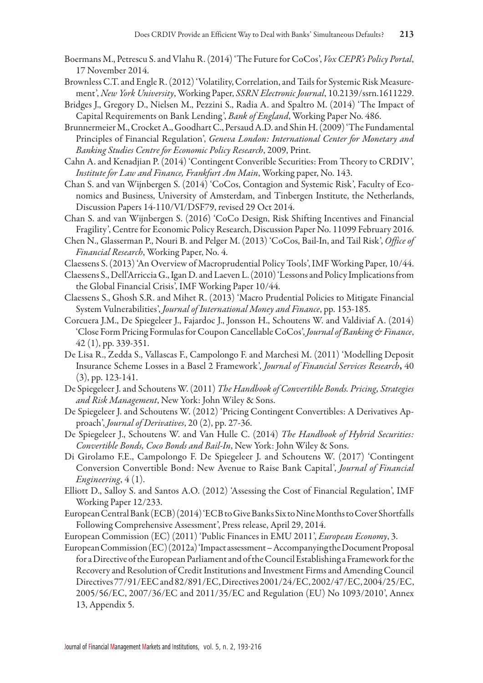- Boermans M., Petrescu S. and Vlahu R. (2014)'The Future for CoCos', *Vox CEPR's Policy Portal*, 17 November 2014.
- Brownless C.T. and Engle R. (2012)'Volatility, Correlation, and Tails for Systemic Risk Measurement', *New York University*, Working Paper, *SSRN Electronic Journal*, 10.2139/ssrn.1611229.
- Bridges J., Gregory D., Nielsen M., Pezzini S., Radia A. and Spaltro M. (2014) 'The Impact of Capital Requirements on Bank Lending', *Bank of England*, Working Paper No. 486.
- Brunnermeier M., Crocket A., Goodhart C., Persaud A.D. and Shin H. (2009)'The Fundamental Principles of Financial Regulation', *Geneva London: International Center for Monetary and Banking Studies Centre for Economic Policy Research*, 2009, Print.
- Cahn A. and Kenadjian P. (2014) 'Contingent Converible Securities: From Theory to CRDIV', *Institute for Law and Finance, Frankfurt Am Main*, Working paper, No. 143.
- Chan S. and van Wijnbergen S. (2014) 'CoCos, Contagion and Systemic Risk', Faculty of Economics and Business, University of Amsterdam, and Tinbergen Institute, the Netherlands, Discussion Papers 14-110/VI/DSF79, revised 29 Oct 2014.
- Chan S. and van Wijnbergen S. (2016) 'CoCo Design, Risk Shifting Incentives and Financial Fragility', Centre for Economic Policy Research, Discussion Paper No. 11099 February 2016.
- Chen N., Glasserman P., Nouri B. and Pelger M. (2013) 'CoCos, Bail-In, and Tail Risk', *Office of Financial Research*, Working Paper, No. 4.
- Claessens S. (2013) 'An Overview of Macroprudential Policy Tools', IMF Working Paper, 10/44.
- Claessens S., Dell'Arriccia G., Igan D. and Laeven L. (2010)'Lessons and Policy Implications from the Global Financial Crisis', IMF Working Paper 10/44.
- Claessens S., Ghosh S.R. and Mihet R. (2013) 'Macro Prudential Policies to Mitigate Financial System Vulnerabilities', *Journal of International Money and Finance*, pp. 153-185.
- Corcuera J.M., De Spiegeleer J., Fajardoc J., Jonsson H., Schoutens W. and Valdiviaf A. (2014) 'Close Form Pricing Formulas for Coupon Cancellable CoCos',*Journal of Banking & Finance*, 42 (1), pp. 339-351.
- De Lisa R., Zedda S., Vallascas F., Campolongo F. and Marchesi M. (2011) 'Modelling Deposit Insurance Scheme Losses in a Basel 2 Framework', *Journal of Financial Services Research*, 40 (3), pp. 123-141.
- De Spiegeleer J. and Schoutens W. (2011) *The Handbook of Convertible Bonds. Pricing, Strategies and Risk Management*, New York: John Wiley & Sons.
- De Spiegeleer J. and Schoutens W. (2012) 'Pricing Contingent Convertibles: A Derivatives Approach', *Journal of Derivatives*, 20 (2), pp. 27-36.
- De Spiegeleer J., Schoutens W. and Van Hulle C. (2014) *The Handbook of Hybrid Securities: Convertible Bonds, Coco Bonds and Bail-In*, New York: John Wiley & Sons.
- Di Girolamo F.E., Campolongo F. De Spiegeleer J. and Schoutens W. (2017) 'Contingent Conversion Convertible Bond: New Avenue to Raise Bank Capital', *Journal of Financial Engineering*, 4 (1).
- Elliott D., Salloy S. and Santos A.O. (2012) 'Assessing the Cost of Financial Regulation', IMF Working Paper 12/233.
- European Central Bank (ECB) (2014)'ECB to Give Banks Six to Nine Months to Cover Shortfalls Following Comprehensive Assessment', Press release, April 29, 2014.
- European Commission (EC) (2011) 'Public Finances in EMU 2011', *European Economy*, 3.
- European Commission (EC) (2012a)'Impact assessment Accompanying the Document Proposal for a Directive of the European Parliament and of the Council Establishing a Framework for the Recovery and Resolution of Credit Institutions and Investment Firms and Amending Council Directives 77/91/EEC and 82/891/EC, Directives 2001/24/EC, 2002/47/EC, 2004/25/EC, 2005/56/EC, 2007/36/EC and 2011/35/EC and Regulation (EU) No 1093/2010', Annex 13, Appendix 5.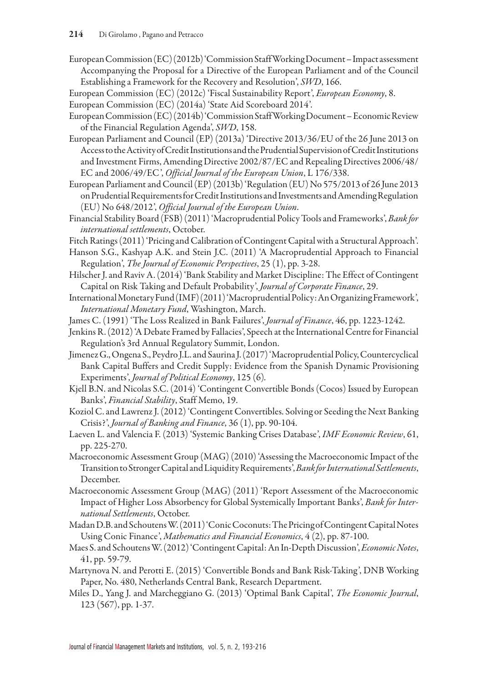- European Commission (EC) (2012b)'Commission Staff Working Document Impact assessment Accompanying the Proposal for a Directive of the European Parliament and of the Council Establishing a Framework for the Recovery and Resolution', *SWD*, 166.
- European Commission (EC) (2012c) 'Fiscal Sustainability Report', *European Economy*, 8.
- European Commission (EC) (2014a) 'State Aid Scoreboard 2014'.
- European Commission (EC) (2014b)'Commission Staff Working Document Economic Review of the Financial Regulation Agenda', *SWD*, 158.
- European Parliament and Council (EP) (2013a) 'Directive 2013/36/EU of the 26 June 2013 on Access to the Activity of Credit Institutions and the Prudential Supervision of Credit Institutions and Investment Firms, Amending Directive 2002/87/EC and Repealing Directives 2006/48/ EC and 2006/49/EC', *Official Journal of the European Union*, L 176/338.
- European Parliament and Council (EP) (2013b)'Regulation (EU) No 575/2013 of 26 June 2013 on Prudential Requirements for Credit Institutions and Investments and Amending Regulation (EU) No 648/2012', *Official Journal of the European Union*.
- Financial Stability Board (FSB) (2011)'Macroprudential Policy Tools and Frameworks', *Bank for international settlements*, October.
- Fitch Ratings (2011)'Pricing and Calibration of Contingent Capital with a Structural Approach'.
- Hanson S.G., Kashyap A.K. and Stein J.C. (2011) 'A Macroprudential Approach to Financial Regulation', *The Journal of Economic Perspectives*, 25 (1), pp. 3-28.
- Hilscher J. and Raviv A. (2014)'Bank Stability and Market Discipline: The Effect of Contingent Capital on Risk Taking and Default Probability', *Journal of Corporate Finance*, 29.
- International Monetary Fund (IMF) (2011)'Macroprudential Policy: An Organizing Framework', *International Monetary Fund*, Washington, March.
- James C. (1991) 'The Loss Realized in Bank Failures', *Journal of Finance*, 46, pp. 1223-1242.
- Jenkins R. (2012)'A Debate Framed by Fallacies', Speech at the International Centre for Financial Regulation's 3rd Annual Regulatory Summit, London.
- Jimenez G., Ongena S., Peydro J.L. and Saurina J. (2017)'Macroprudential Policy, Countercyclical Bank Capital Buffers and Credit Supply: Evidence from the Spanish Dynamic Provisioning Experiments', *Journal of Political Economy*, 125 (6)*.*
- Kjell B.N. and Nicolas S.C. (2014) 'Contingent Convertible Bonds (Cocos) Issued by European Banks', *Financial Stability*, Staff Memo, 19.
- Koziol C. and Lawrenz J. (2012)'Contingent Convertibles. Solving or Seeding the Next Banking Crisis?', *Journal of Banking and Finance*, 36 (1), pp. 90-104.
- Laeven L. and Valencia F. (2013) 'Systemic Banking Crises Database', *IMF Economic Review*, 61, pp. 225-270.
- Macroeconomic Assessment Group (MAG) (2010)'Assessing the Macroeconomic Impact of the Transition to Stronger Capital and Liquidity Requirements',*Bank for International Settlements*, December.
- Macroeconomic Assessment Group (MAG) (2011) 'Report Assessment of the Macroeconomic Impact of Higher Loss Absorbency for Global Systemically Important Banks', *Bank for International Settlements*, October.
- Madan D.B. and Schoutens W. (2011)'Conic Coconuts: The Pricing of Contingent Capital Notes Using Conic Finance', *Mathematics and Financial Economics*, 4 (2), pp. 87-100.
- Maes S. and Schoutens W. (2012)'Contingent Capital: An In-Depth Discussion',*Economic Notes*, 41, pp. 59-79.
- Martynova N. and Perotti E. (2015) 'Convertible Bonds and Bank Risk-Taking', DNB Working Paper, No. 480, Netherlands Central Bank, Research Department.
- Miles D., Yang J. and Marcheggiano G. (2013) 'Optimal Bank Capital', *The Economic Journal*, 123 (567), pp. 1-37.